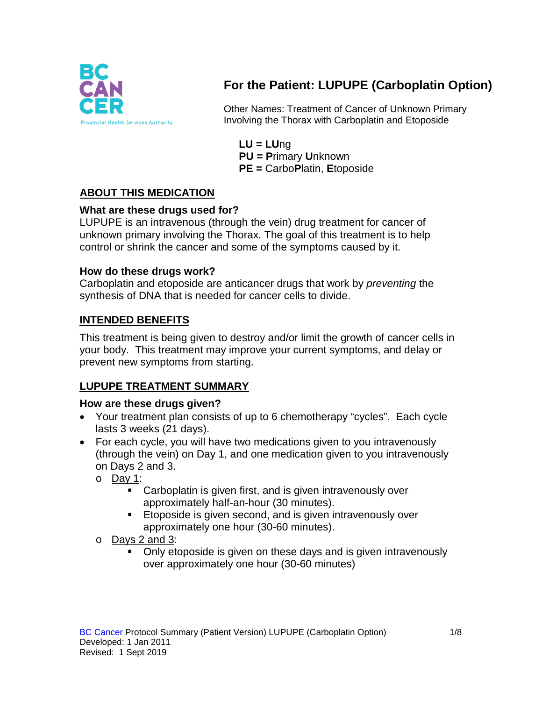

# **For the Patient: LUPUPE (Carboplatin Option)**

Other Names: Treatment of Cancer of Unknown Primary Involving the Thorax with Carboplatin and Etoposide

**LU = LU**ng **PU = P**rimary **U**nknown **PE =** Carbo**P**latin, **E**toposide

# **ABOUT THIS MEDICATION**

### **What are these drugs used for?**

LUPUPE is an intravenous (through the vein) drug treatment for cancer of unknown primary involving the Thorax. The goal of this treatment is to help control or shrink the cancer and some of the symptoms caused by it.

### **How do these drugs work?**

Carboplatin and etoposide are anticancer drugs that work by *preventing* the synthesis of DNA that is needed for cancer cells to divide.

### **INTENDED BENEFITS**

This treatment is being given to destroy and/or limit the growth of cancer cells in your body. This treatment may improve your current symptoms, and delay or prevent new symptoms from starting.

# **LUPUPE TREATMENT SUMMARY**

### **How are these drugs given?**

- Your treatment plan consists of up to 6 chemotherapy "cycles". Each cycle lasts 3 weeks (21 days).
- For each cycle, you will have two medications given to you intravenously (through the vein) on Day 1, and one medication given to you intravenously on Days 2 and 3.
	- o Day 1:
		- **Carboplatin is given first, and is given intravenously over** approximately half-an-hour (30 minutes).
		- **Etoposide is given second, and is given intravenously over** approximately one hour (30-60 minutes).
	- $\circ$  Days 2 and 3:
		- Only etoposide is given on these days and is given intravenously over approximately one hour (30-60 minutes)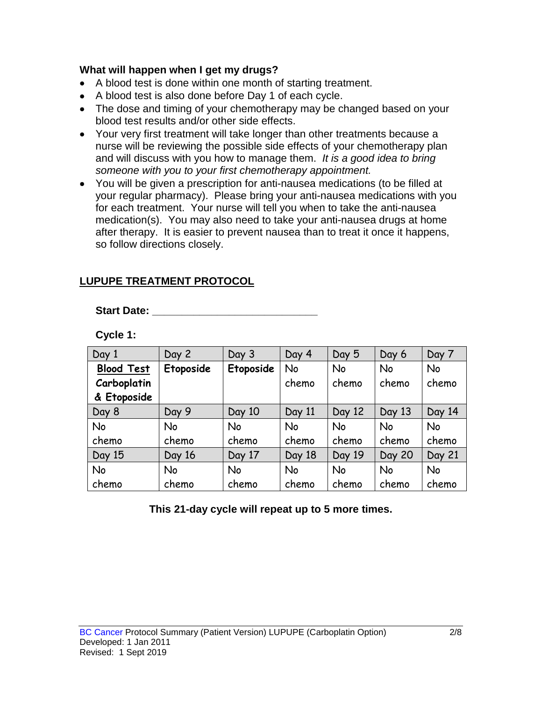### **What will happen when I get my drugs?**

- A blood test is done within one month of starting treatment.
- A blood test is also done before Day 1 of each cycle.
- The dose and timing of your chemotherapy may be changed based on your blood test results and/or other side effects.
- Your very first treatment will take longer than other treatments because a nurse will be reviewing the possible side effects of your chemotherapy plan and will discuss with you how to manage them. *It is a good idea to bring someone with you to your first chemotherapy appointment.*
- You will be given a prescription for anti-nausea medications (to be filled at your regular pharmacy). Please bring your anti-nausea medications with you for each treatment. Your nurse will tell you when to take the anti-nausea medication(s). You may also need to take your anti-nausea drugs at home after therapy. It is easier to prevent nausea than to treat it once it happens, so follow directions closely.

# **LUPUPE TREATMENT PROTOCOL**

**Start Date: \_\_\_\_\_\_\_\_\_\_\_\_\_\_\_\_\_\_\_\_\_\_\_\_\_\_\_\_**

**Cycle 1:**

| Day 1             | Day 2     | Day 3     | Day 4     | Day 5     | Day 6         | Day 7  |
|-------------------|-----------|-----------|-----------|-----------|---------------|--------|
| <b>Blood Test</b> | Etoposide | Etoposide | No        | No        | No            | No     |
| Carboplatin       |           |           | chemo     | chemo     | chemo         | chemo  |
| & Etoposide       |           |           |           |           |               |        |
| Day 8             | Day 9     | Day 10    | Day 11    | Day 12    | Day 13        | Day 14 |
| No                | <b>No</b> | <b>No</b> | <b>No</b> | <b>No</b> | <b>No</b>     | No     |
| chemo             | chemo     | chemo     | chemo     | chemo     | chemo         | chemo  |
| Day 15            | Day 16    | Day 17    | Day 18    | Day 19    | <b>Day 20</b> | Day 21 |
| No                | No        | <b>No</b> | <b>No</b> | No        | No            | No     |
| chemo             | chemo     | chemo     | chemo     | chemo     | chemo         | chemo  |

**This 21-day cycle will repeat up to 5 more times.**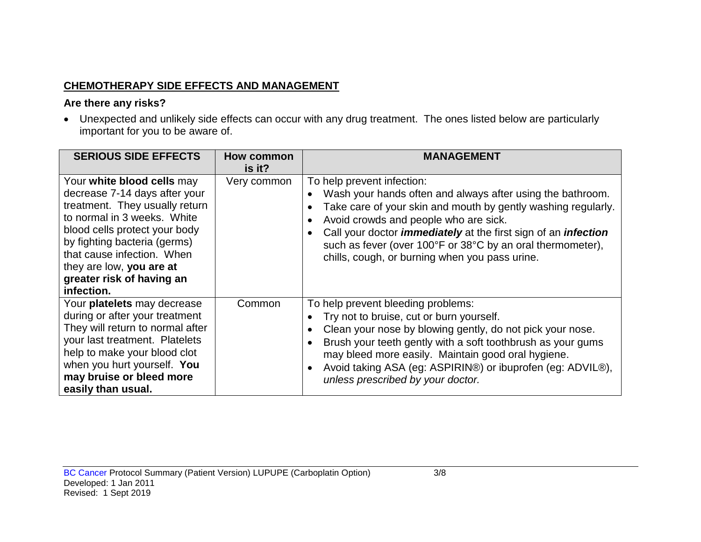# **CHEMOTHERAPY SIDE EFFECTS AND MANAGEMENT**

### **Are there any risks?**

• Unexpected and unlikely side effects can occur with any drug treatment. The ones listed below are particularly important for you to be aware of.

| <b>SERIOUS SIDE EFFECTS</b>                                                                                                                                                                                                                                                                        | How common<br>is it? | <b>MANAGEMENT</b>                                                                                                                                                                                                                                                                                                                                                                                  |
|----------------------------------------------------------------------------------------------------------------------------------------------------------------------------------------------------------------------------------------------------------------------------------------------------|----------------------|----------------------------------------------------------------------------------------------------------------------------------------------------------------------------------------------------------------------------------------------------------------------------------------------------------------------------------------------------------------------------------------------------|
| Your white blood cells may<br>decrease 7-14 days after your<br>treatment. They usually return<br>to normal in 3 weeks. White<br>blood cells protect your body<br>by fighting bacteria (germs)<br>that cause infection. When<br>they are low, you are at<br>greater risk of having an<br>infection. | Very common          | To help prevent infection:<br>Wash your hands often and always after using the bathroom.<br>Take care of your skin and mouth by gently washing regularly.<br>Avoid crowds and people who are sick.<br>Call your doctor <i>immediately</i> at the first sign of an <i>infection</i><br>such as fever (over 100°F or 38°C by an oral thermometer),<br>chills, cough, or burning when you pass urine. |
| Your platelets may decrease<br>during or after your treatment<br>They will return to normal after<br>your last treatment. Platelets<br>help to make your blood clot<br>when you hurt yourself. You<br>may bruise or bleed more<br>easily than usual.                                               | Common               | To help prevent bleeding problems:<br>Try not to bruise, cut or burn yourself.<br>Clean your nose by blowing gently, do not pick your nose.<br>Brush your teeth gently with a soft toothbrush as your gums<br>may bleed more easily. Maintain good oral hygiene.<br>Avoid taking ASA (eg: ASPIRIN®) or ibuprofen (eg: ADVIL®),<br>unless prescribed by your doctor.                                |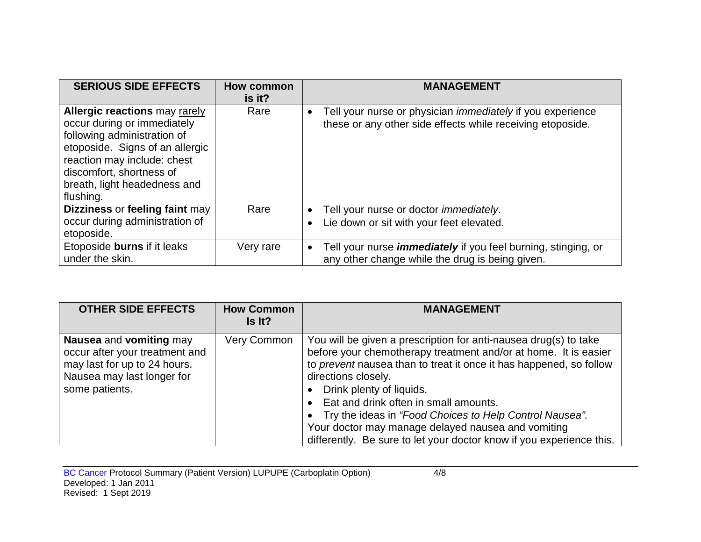| <b>SERIOUS SIDE EFFECTS</b>                                                                                                                                                                                                                   | How common<br>is it? | <b>MANAGEMENT</b>                                                                                                                            |
|-----------------------------------------------------------------------------------------------------------------------------------------------------------------------------------------------------------------------------------------------|----------------------|----------------------------------------------------------------------------------------------------------------------------------------------|
| <b>Allergic reactions may rarely</b><br>occur during or immediately<br>following administration of<br>etoposide. Signs of an allergic<br>reaction may include: chest<br>discomfort, shortness of<br>breath, light headedness and<br>flushing. | Rare                 | Tell your nurse or physician <i>immediately</i> if you experience<br>$\bullet$<br>these or any other side effects while receiving etoposide. |
| Dizziness or feeling faint may<br>occur during administration of<br>etoposide.                                                                                                                                                                | Rare                 | Tell your nurse or doctor <i>immediately</i> .<br>$\bullet$<br>Lie down or sit with your feet elevated.<br>$\bullet$                         |
| Etoposide burns if it leaks<br>under the skin.                                                                                                                                                                                                | Very rare            | Tell your nurse <i>immediately</i> if you feel burning, stinging, or<br>$\bullet$<br>any other change while the drug is being given.         |

| <b>OTHER SIDE EFFECTS</b>                                                                                                                               | <b>How Common</b><br>Is It? | <b>MANAGEMENT</b>                                                                                                                                                                                                                                                                                                                                                                                                                                                                              |
|---------------------------------------------------------------------------------------------------------------------------------------------------------|-----------------------------|------------------------------------------------------------------------------------------------------------------------------------------------------------------------------------------------------------------------------------------------------------------------------------------------------------------------------------------------------------------------------------------------------------------------------------------------------------------------------------------------|
| <b>Nausea</b> and <b>vomiting</b> may<br>occur after your treatment and<br>may last for up to 24 hours.<br>Nausea may last longer for<br>some patients. | <b>Very Common</b>          | You will be given a prescription for anti-nausea drug(s) to take<br>before your chemotherapy treatment and/or at home. It is easier<br>to prevent nausea than to treat it once it has happened, so follow<br>directions closely.<br>Drink plenty of liquids.<br>Eat and drink often in small amounts.<br>Try the ideas in "Food Choices to Help Control Nausea".<br>Your doctor may manage delayed nausea and vomiting<br>differently. Be sure to let your doctor know if you experience this. |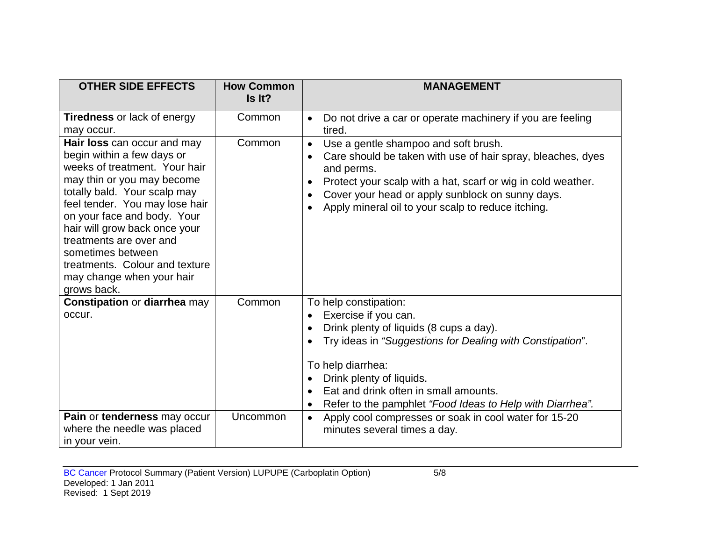| <b>OTHER SIDE EFFECTS</b>                                                                                                                                                                                                                                                                                                                                                                | <b>How Common</b><br>Is It? | <b>MANAGEMENT</b>                                                                                                                                                                                                                                                                                                                      |
|------------------------------------------------------------------------------------------------------------------------------------------------------------------------------------------------------------------------------------------------------------------------------------------------------------------------------------------------------------------------------------------|-----------------------------|----------------------------------------------------------------------------------------------------------------------------------------------------------------------------------------------------------------------------------------------------------------------------------------------------------------------------------------|
| <b>Tiredness</b> or lack of energy<br>may occur.                                                                                                                                                                                                                                                                                                                                         | Common                      | Do not drive a car or operate machinery if you are feeling<br>$\bullet$<br>tired.                                                                                                                                                                                                                                                      |
| Hair loss can occur and may<br>begin within a few days or<br>weeks of treatment. Your hair<br>may thin or you may become<br>totally bald. Your scalp may<br>feel tender. You may lose hair<br>on your face and body. Your<br>hair will grow back once your<br>treatments are over and<br>sometimes between<br>treatments. Colour and texture<br>may change when your hair<br>grows back. | Common                      | Use a gentle shampoo and soft brush.<br>$\bullet$<br>Care should be taken with use of hair spray, bleaches, dyes<br>$\bullet$<br>and perms.<br>Protect your scalp with a hat, scarf or wig in cold weather.<br>Cover your head or apply sunblock on sunny days.<br>$\bullet$<br>Apply mineral oil to your scalp to reduce itching.     |
| <b>Constipation or diarrhea may</b><br>occur.                                                                                                                                                                                                                                                                                                                                            | Common                      | To help constipation:<br>Exercise if you can.<br>$\bullet$<br>Drink plenty of liquids (8 cups a day).<br>Try ideas in "Suggestions for Dealing with Constipation".<br>To help diarrhea:<br>Drink plenty of liquids.<br>Eat and drink often in small amounts.<br>Refer to the pamphlet "Food Ideas to Help with Diarrhea".<br>$\bullet$ |
| Pain or tenderness may occur<br>where the needle was placed<br>in your vein.                                                                                                                                                                                                                                                                                                             | Uncommon                    | Apply cool compresses or soak in cool water for 15-20<br>$\bullet$<br>minutes several times a day.                                                                                                                                                                                                                                     |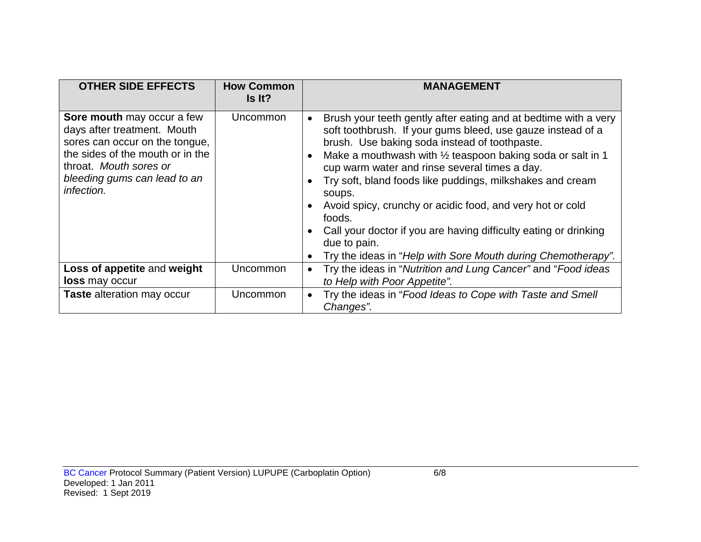| <b>OTHER SIDE EFFECTS</b>                                                                                                                                                                               | <b>How Common</b><br>Is It? | <b>MANAGEMENT</b>                                                                                                                                                                                                                                                                                                                                                                                                                                                                                                                                                                                                        |
|---------------------------------------------------------------------------------------------------------------------------------------------------------------------------------------------------------|-----------------------------|--------------------------------------------------------------------------------------------------------------------------------------------------------------------------------------------------------------------------------------------------------------------------------------------------------------------------------------------------------------------------------------------------------------------------------------------------------------------------------------------------------------------------------------------------------------------------------------------------------------------------|
| Sore mouth may occur a few<br>days after treatment. Mouth<br>sores can occur on the tongue,<br>the sides of the mouth or in the<br>throat. Mouth sores or<br>bleeding gums can lead to an<br>infection. | Uncommon                    | Brush your teeth gently after eating and at bedtime with a very<br>soft toothbrush. If your gums bleed, use gauze instead of a<br>brush. Use baking soda instead of toothpaste.<br>Make a mouthwash with $\frac{1}{2}$ teaspoon baking soda or salt in 1<br>$\bullet$<br>cup warm water and rinse several times a day.<br>Try soft, bland foods like puddings, milkshakes and cream<br>soups.<br>Avoid spicy, crunchy or acidic food, and very hot or cold<br>foods.<br>Call your doctor if you are having difficulty eating or drinking<br>due to pain.<br>Try the ideas in "Help with Sore Mouth during Chemotherapy". |
| Loss of appetite and weight                                                                                                                                                                             | Uncommon                    | Try the ideas in "Nutrition and Lung Cancer" and "Food ideas<br>$\bullet$                                                                                                                                                                                                                                                                                                                                                                                                                                                                                                                                                |
| loss may occur                                                                                                                                                                                          |                             | to Help with Poor Appetite".                                                                                                                                                                                                                                                                                                                                                                                                                                                                                                                                                                                             |
| <b>Taste</b> alteration may occur                                                                                                                                                                       | Uncommon                    | Try the ideas in "Food Ideas to Cope with Taste and Smell<br>Changes".                                                                                                                                                                                                                                                                                                                                                                                                                                                                                                                                                   |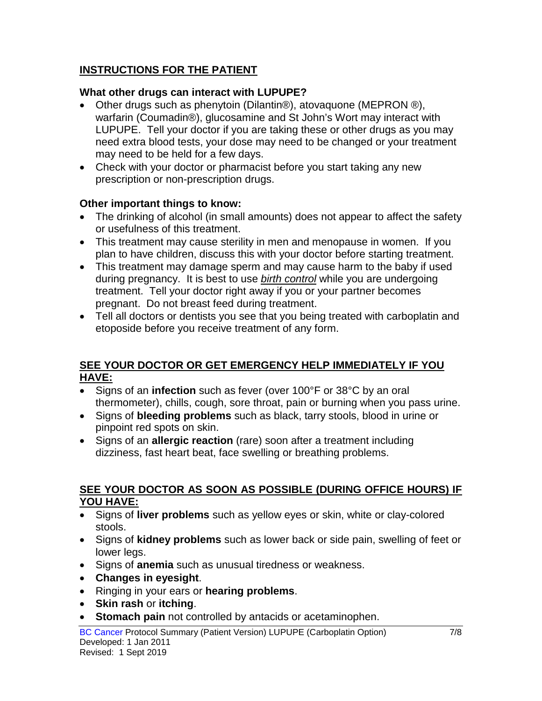# **INSTRUCTIONS FOR THE PATIENT**

### **What other drugs can interact with LUPUPE?**

- Other drugs such as phenytoin (Dilantin®), atovaquone (MEPRON ®), warfarin (Coumadin®), glucosamine and St John's Wort may interact with LUPUPE. Tell your doctor if you are taking these or other drugs as you may need extra blood tests, your dose may need to be changed or your treatment may need to be held for a few days.
- Check with your doctor or pharmacist before you start taking any new prescription or non-prescription drugs.

### **Other important things to know:**

- The drinking of alcohol (in small amounts) does not appear to affect the safety or usefulness of this treatment.
- This treatment may cause sterility in men and menopause in women. If you plan to have children, discuss this with your doctor before starting treatment.
- This treatment may damage sperm and may cause harm to the baby if used during pregnancy. It is best to use *birth control* while you are undergoing treatment. Tell your doctor right away if you or your partner becomes pregnant. Do not breast feed during treatment.
- Tell all doctors or dentists you see that you being treated with carboplatin and etoposide before you receive treatment of any form.

#### **SEE YOUR DOCTOR OR GET EMERGENCY HELP IMMEDIATELY IF YOU HAVE:**

- Signs of an **infection** such as fever (over 100°F or 38°C by an oral thermometer), chills, cough, sore throat, pain or burning when you pass urine.
- Signs of **bleeding problems** such as black, tarry stools, blood in urine or pinpoint red spots on skin.
- Signs of an **allergic reaction** (rare) soon after a treatment including dizziness, fast heart beat, face swelling or breathing problems.

### **SEE YOUR DOCTOR AS SOON AS POSSIBLE (DURING OFFICE HOURS) IF YOU HAVE:**

- Signs of **liver problems** such as yellow eyes or skin, white or clay-colored stools.
- Signs of **kidney problems** such as lower back or side pain, swelling of feet or lower legs.
- Signs of **anemia** such as unusual tiredness or weakness.
- **Changes in eyesight**.
- Ringing in your ears or **hearing problems**.
- **Skin rash** or **itching**.
- **Stomach pain** not controlled by antacids or acetaminophen.